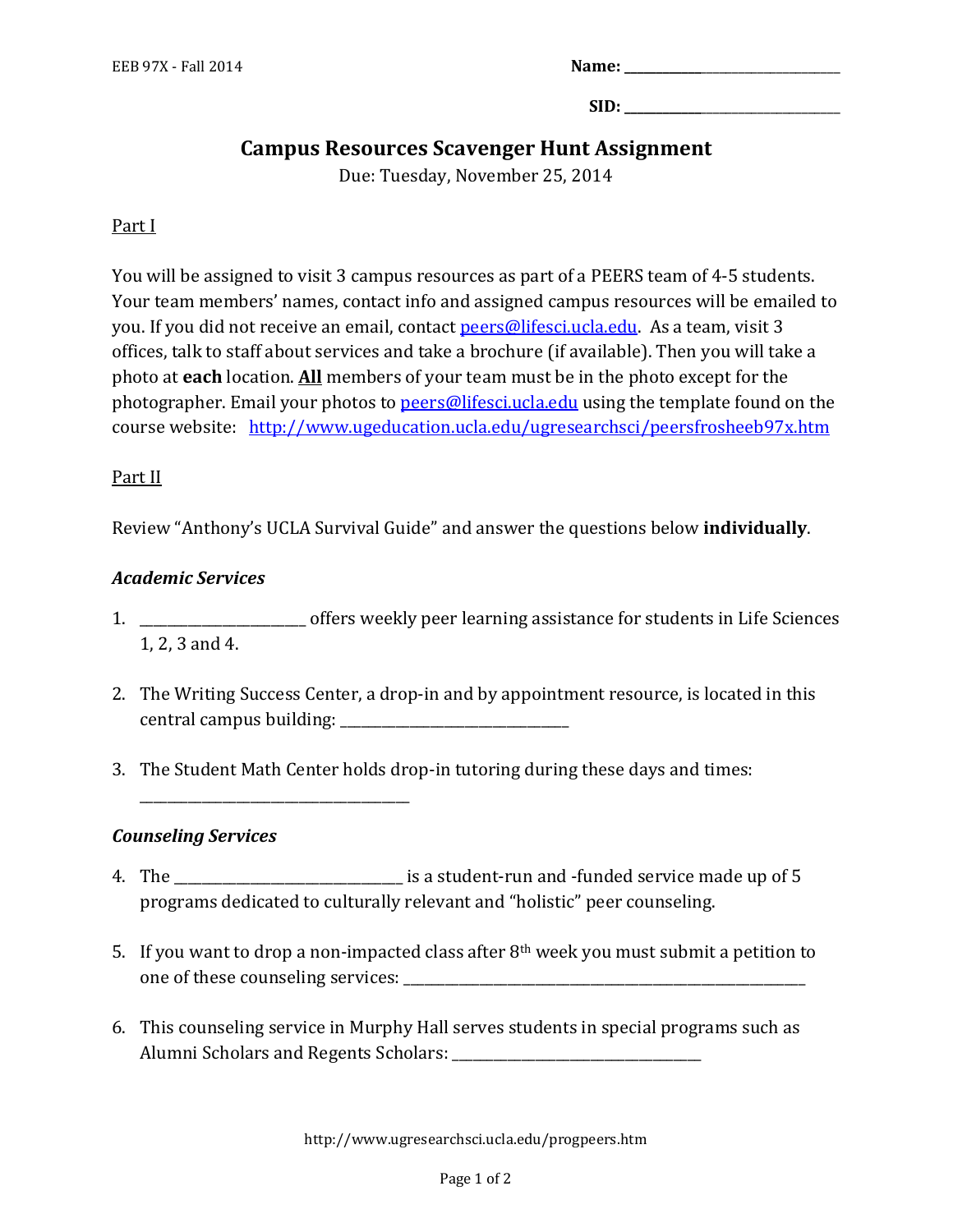| Name: |  |
|-------|--|
|-------|--|

 $\textbf{SID:}$ 

# **Campus Resources Scavenger Hunt Assignment**

Due: Tuesday, November 25, 2014

### Part I

You will be assigned to visit 3 campus resources as part of a PEERS team of 4-5 students. Your team members' names, contact info and assigned campus resources will be emailed to you. If you did not receive an email, contact [peers@lifesci.ucla.edu.](mailto:peers@lifesci.ucla.edu) As a team, visit 3 offices, talk to staff about services and take a brochure (if available). Then you will take a photo at **each** location. **All** members of your team must be in the photo except for the photographer. Email your photos t[o peers@lifesci.ucla.edu](mailto:peers@lifesci.ucla.edu) using the template found on the course website: <http://www.ugeducation.ucla.edu/ugresearchsci/peersfrosheeb97x.htm>

#### Part II

Review "Anthony's UCLA Survival Guide" and answer the questions below **individually**.

#### *Academic Services*

- 1. \_\_\_\_\_\_\_\_\_\_\_\_\_\_\_\_\_\_\_\_\_\_\_\_ offers weekly peer learning assistance for students in Life Sciences 1, 2, 3 and 4.
- 2. The Writing Success Center, a drop-in and by appointment resource, is located in this central campus building:
- 3. The Student Math Center holds drop-in tutoring during these days and times:

#### *Counseling Services*

\_\_\_\_\_\_\_\_\_\_\_\_\_\_\_\_\_\_\_\_\_\_\_\_\_\_\_\_\_\_\_\_\_\_\_\_\_\_\_

- 4. The \_\_\_\_\_\_\_\_\_\_\_\_\_\_\_\_\_\_\_\_\_\_\_\_\_\_\_\_\_\_\_\_\_ is a student-run and -funded service made up of 5 programs dedicated to culturally relevant and "holistic" peer counseling.
- 5. If you want to drop a non-impacted class after  $8<sup>th</sup>$  week you must submit a petition to one of these counseling services:
- 6. This counseling service in Murphy Hall serves students in special programs such as Alumni Scholars and Regents Scholars: \_\_\_\_\_\_\_\_\_\_\_\_\_\_\_\_\_\_\_\_\_\_\_\_\_\_\_\_\_\_\_\_\_\_\_\_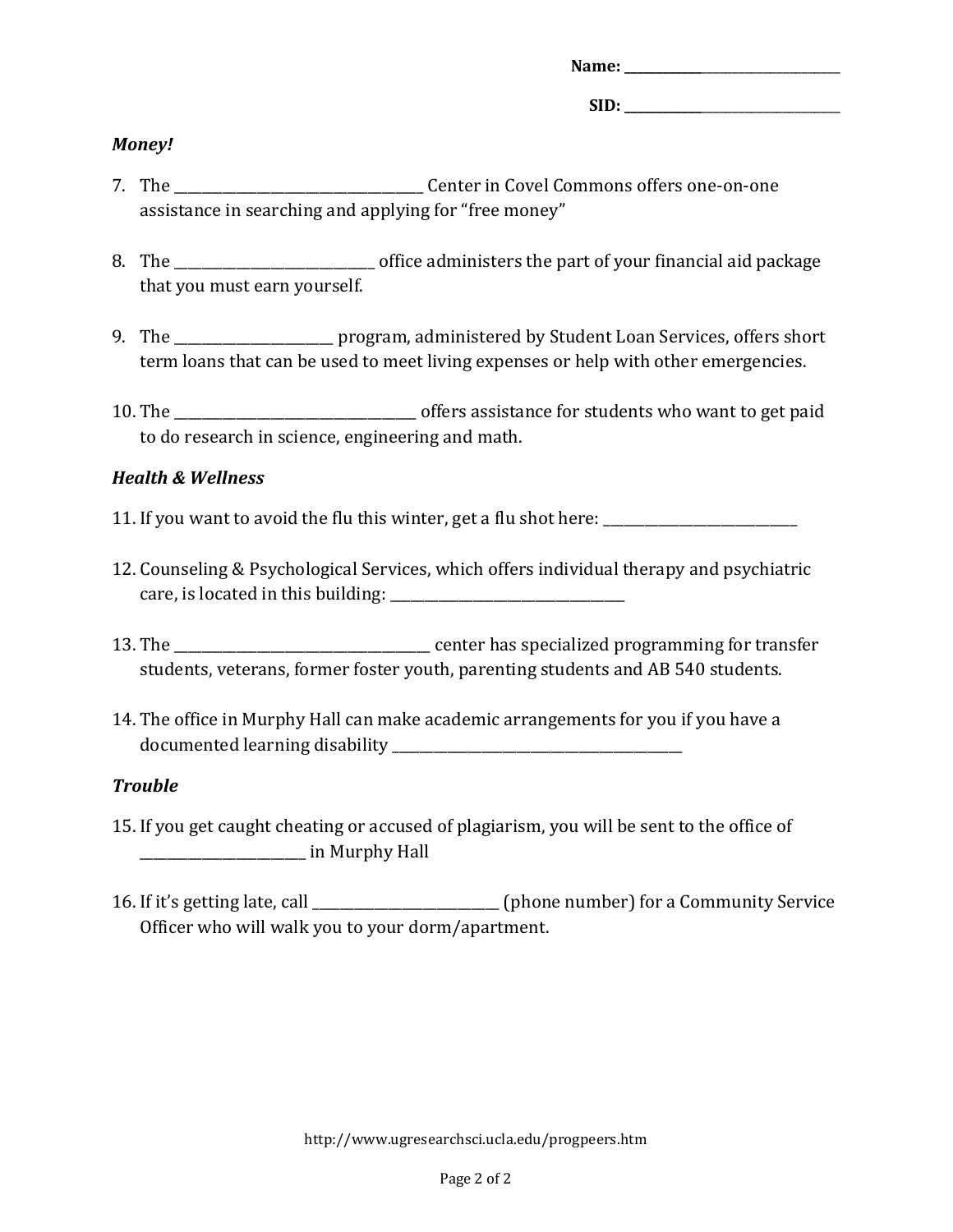| Name: |  |  |  |
|-------|--|--|--|
|       |  |  |  |
| SD).  |  |  |  |

## *Money!*

- 7. The \_\_\_\_\_\_\_\_\_\_\_\_\_\_\_\_\_\_\_\_\_\_\_\_\_\_\_\_\_\_\_\_\_\_\_\_ Center in Covel Commons offers one-on-one assistance in searching and applying for "free money"
- 8. The contract of fice administers the part of your financial aid package that you must earn yourself.
- 9. The \_\_\_\_\_\_\_\_\_\_\_\_\_\_\_\_\_\_\_\_\_ program, administered by Student Loan Services, offers short term loans that can be used to meet living expenses or help with other emergencies.
- 10. The \_\_\_\_\_\_\_\_\_\_\_\_\_\_\_\_\_\_\_\_\_\_\_\_\_\_\_\_\_\_\_\_\_\_\_ offers assistance for students who want to get paid to do research in science, engineering and math.

# *Health & Wellness*

- 11. If you want to avoid the flu this winter, get a flu shot here:
- 12. Counseling & Psychological Services, which offers individual therapy and psychiatric care, is located in this building:
- 13. The \_\_\_\_\_\_\_\_\_\_\_\_\_\_\_\_\_\_\_\_\_\_\_\_\_\_\_\_\_\_\_\_\_\_\_\_\_ center has specialized programming for transfer students, veterans, former foster youth, parenting students and AB 540 students.
- 14. The office in Murphy Hall can make academic arrangements for you if you have a documented learning disability

# *Trouble*

- 15. If you get caught cheating or accused of plagiarism, you will be sent to the office of \_\_\_\_\_\_\_\_\_\_\_\_\_\_\_\_\_\_\_\_\_\_\_\_ in Murphy Hall
- 16. If it's getting late, call \_\_\_\_\_\_\_\_\_\_\_\_\_\_\_\_\_\_\_\_\_\_\_\_\_\_\_ (phone number) for a Community Service Officer who will walk you to your dorm/apartment.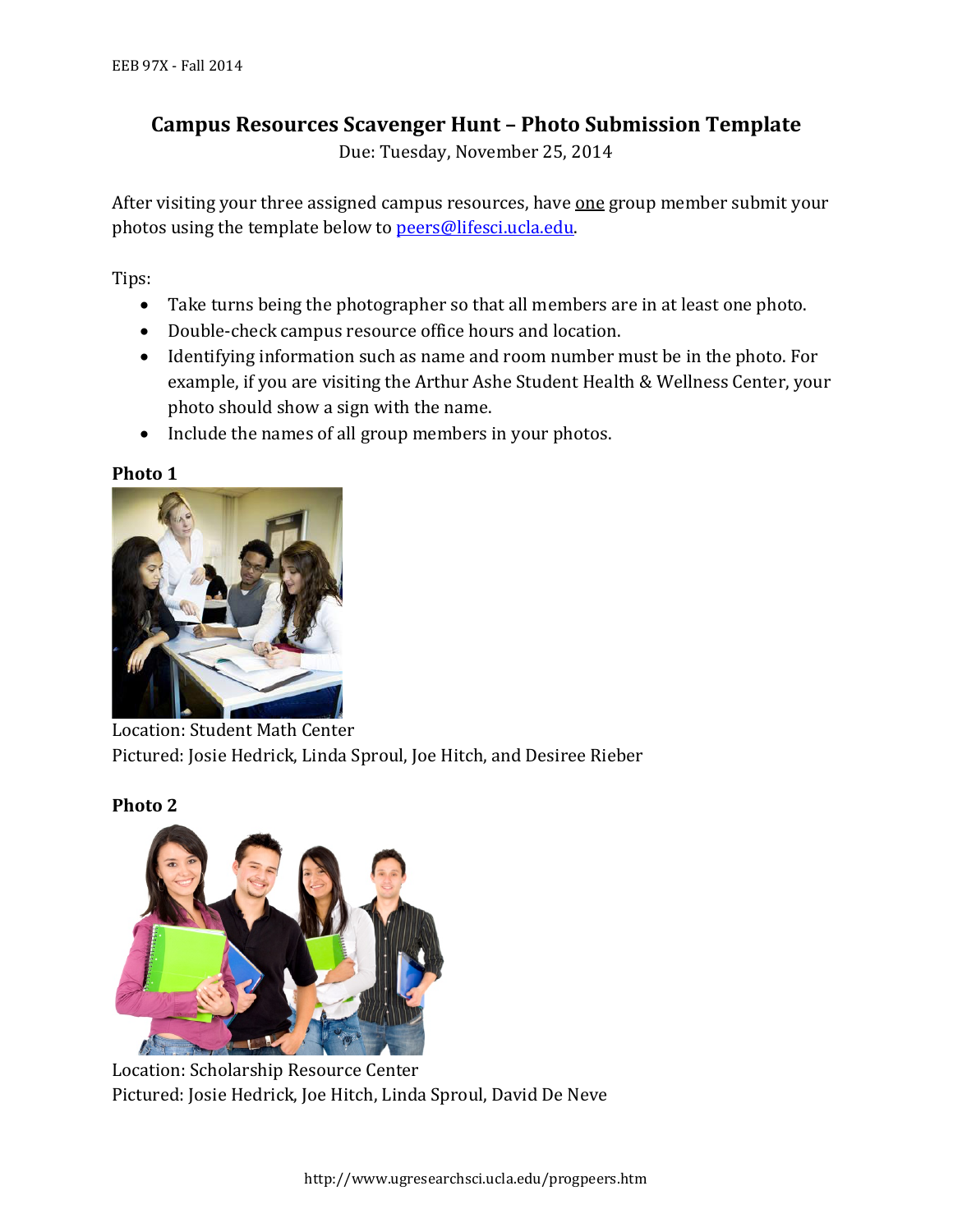# **Campus Resources Scavenger Hunt – Photo Submission Template**

Due: Tuesday, November 25, 2014

After visiting your three assigned campus resources, have one group member submit your photos using the template below to [peers@lifesci.ucla.edu.](mailto:peers@lifesci.ucla.edu)

Tips:

- Take turns being the photographer so that all members are in at least one photo.
- Double-check campus resource office hours and location.
- Identifying information such as name and room number must be in the photo. For example, if you are visiting the Arthur Ashe Student Health & Wellness Center, your photo should show a sign with the name.
- Include the names of all group members in your photos.

## **Photo 1**

**Photo 2**



Location: Student Math Center Pictured: Josie Hedrick, Linda Sproul, Joe Hitch, and Desiree Rieber



Location: Scholarship Resource Center Pictured: Josie Hedrick, Joe Hitch, Linda Sproul, David De Neve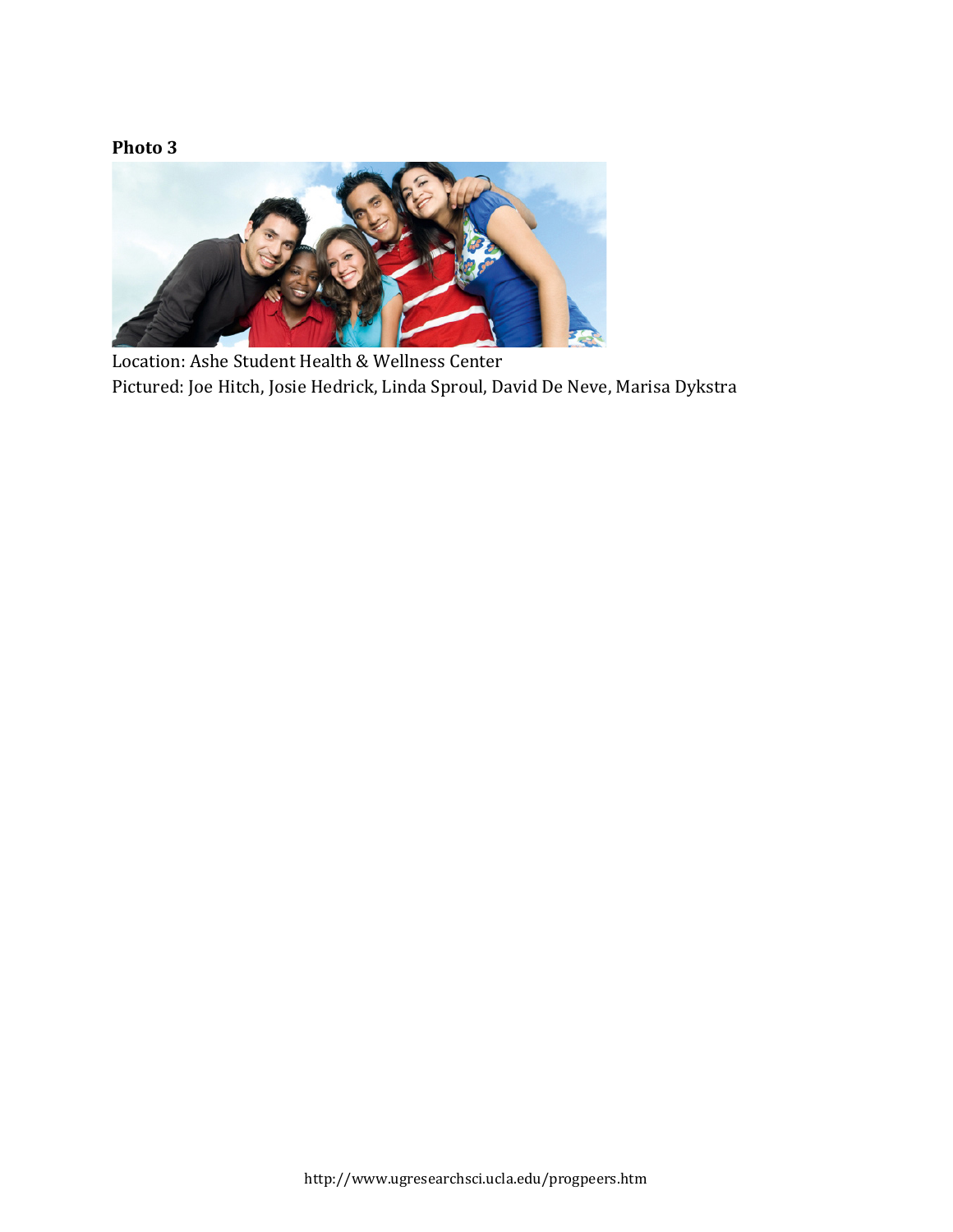# **Photo 3**



Location: Ashe Student Health & Wellness Center Pictured: Joe Hitch, Josie Hedrick, Linda Sproul, David De Neve, Marisa Dykstra